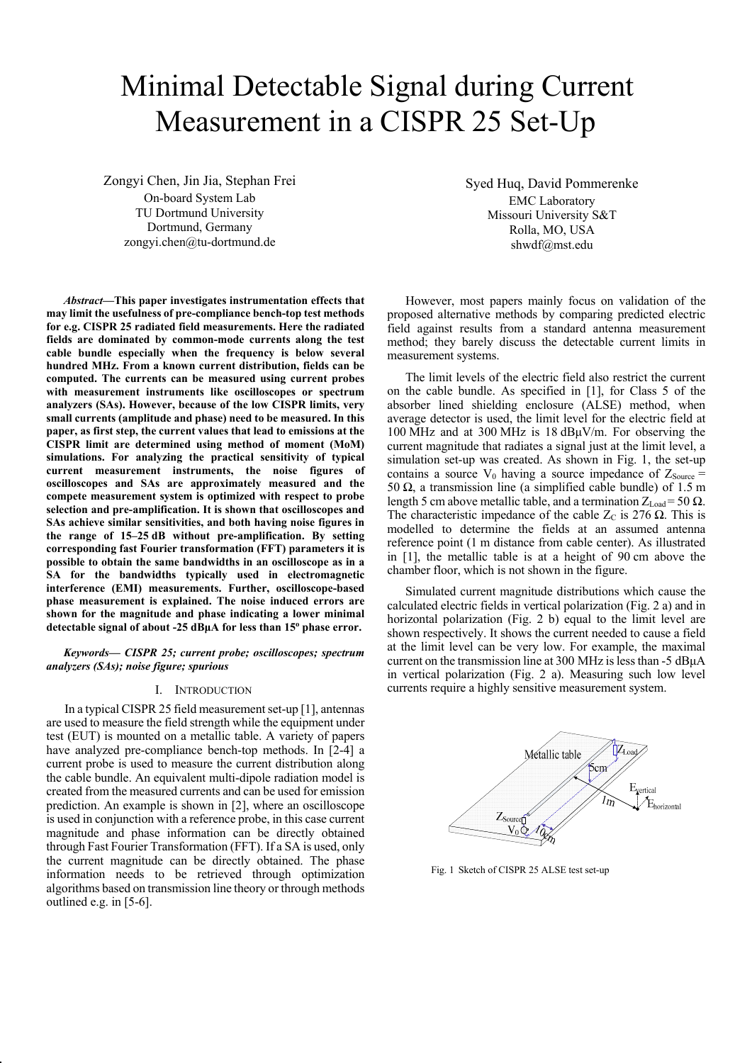# Minimal Detectable Signal during Current Measurement in a CISPR 25 Set-Up

Zongyi Chen, Jin Jia, Stephan Frei On-board System Lab TU Dortmund University Dortmund, Germany zongyi.chen@tu-dortmund.de

*Abstract***—This paper investigates instrumentation effects that may limit the usefulness of pre-compliance bench-top test methods for e.g. CISPR 25 radiated field measurements. Here the radiated fields are dominated by common-mode currents along the test cable bundle especially when the frequency is below several hundred MHz. From a known current distribution, fields can be computed. The currents can be measured using current probes with measurement instruments like oscilloscopes or spectrum analyzers (SAs). However, because of the low CISPR limits, very small currents (amplitude and phase) need to be measured. In this paper, as first step, the current values that lead to emissions at the CISPR limit are determined using method of moment (MoM) simulations. For analyzing the practical sensitivity of typical current measurement instruments, the noise figures of oscilloscopes and SAs are approximately measured and the compete measurement system is optimized with respect to probe selection and pre-amplification. It is shown that oscilloscopes and SAs achieve similar sensitivities, and both having noise figures in the range of 15–25 dB without pre-amplification. By setting corresponding fast Fourier transformation (FFT) parameters it is possible to obtain the same bandwidths in an oscilloscope as in a SA for the bandwidths typically used in electromagnetic interference (EMI) measurements. Further, oscilloscope-based phase measurement is explained. The noise induced errors are shown for the magnitude and phase indicating a lower minimal detectable signal of about -25 dBμA for less than 15o phase error.** 

*Keywords— CISPR 25; current probe; oscilloscopes; spectrum analyzers (SAs); noise figure; spurious* 

#### I. INTRODUCTION

In a typical CISPR 25 field measurement set-up [1], antennas are used to measure the field strength while the equipment under test (EUT) is mounted on a metallic table. A variety of papers have analyzed pre-compliance bench-top methods. In [2-4] a current probe is used to measure the current distribution along the cable bundle. An equivalent multi-dipole radiation model is created from the measured currents and can be used for emission prediction. An example is shown in [2], where an oscilloscope is used in conjunction with a reference probe, in this case current magnitude and phase information can be directly obtained through Fast Fourier Transformation (FFT). If a SA is used, only the current magnitude can be directly obtained. The phase information needs to be retrieved through optimization algorithms based on transmission line theory or through methods outlined e.g. in [5-6].

Syed Huq, David Pommerenke EMC Laboratory Missouri University S&T Rolla, MO, USA shwdf@mst.edu

However, most papers mainly focus on validation of the proposed alternative methods by comparing predicted electric field against results from a standard antenna measurement method; they barely discuss the detectable current limits in measurement systems.

The limit levels of the electric field also restrict the current on the cable bundle. As specified in [1], for Class 5 of the absorber lined shielding enclosure (ALSE) method, when average detector is used, the limit level for the electric field at 100 MHz and at 300 MHz is 18 dBμV/m. For observing the current magnitude that radiates a signal just at the limit level, a simulation set-up was created. As shown in Fig. 1, the set-up contains a source  $V_0$  having a source impedance of  $Z_{\text{Source}} =$ 50 Ω, a transmission line (a simplified cable bundle) of 1.5 m length 5 cm above metallic table, and a termination  $Z_{Load} = 50 \Omega$ . The characteristic impedance of the cable  $Z_C$  is 276  $\Omega$ . This is modelled to determine the fields at an assumed antenna reference point (1 m distance from cable center). As illustrated in [1], the metallic table is at a height of 90 cm above the chamber floor, which is not shown in the figure.

Simulated current magnitude distributions which cause the calculated electric fields in vertical polarization (Fig. 2 a) and in horizontal polarization (Fig. 2 b) equal to the limit level are shown respectively. It shows the current needed to cause a field at the limit level can be very low. For example, the maximal current on the transmission line at 300 MHz is less than -5 dBμA in vertical polarization (Fig. 2 a). Measuring such low level currents require a highly sensitive measurement system.



Fig. 1 Sketch of CISPR 25 ALSE test set-up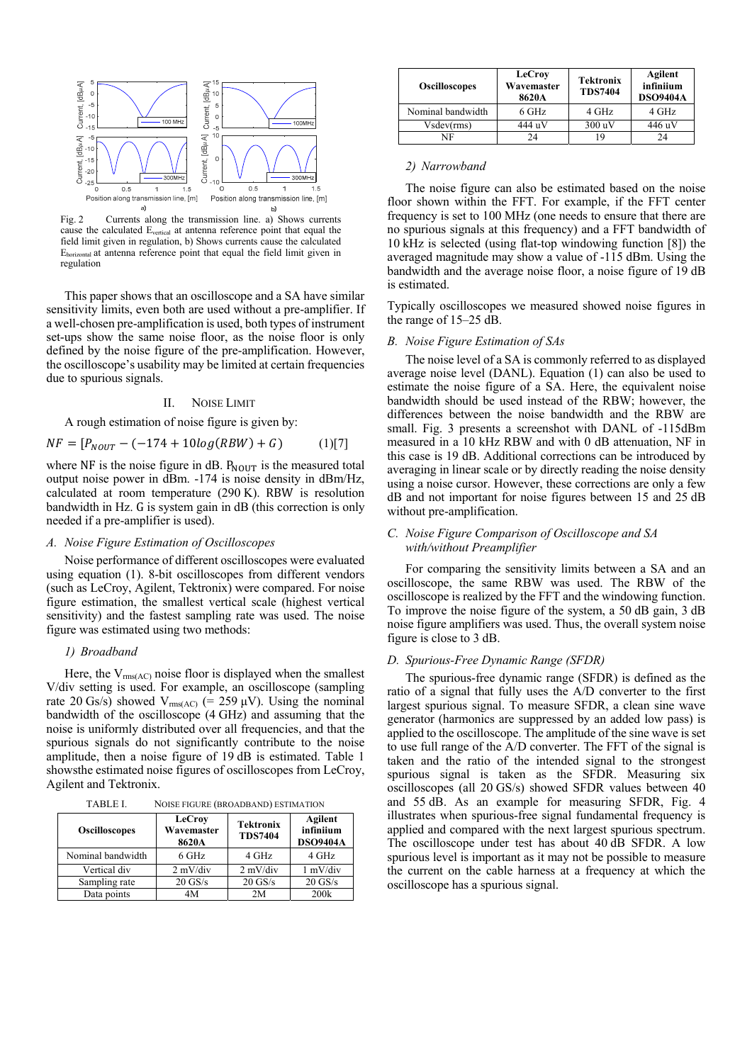

Fig. 2 Currents along the transmission line. a) Shows currents cause the calculated Evertical at antenna reference point that equal the field limit given in regulation, b) Shows currents cause the calculated Ehorizontal at antenna reference point that equal the field limit given in regulation

This paper shows that an oscilloscope and a SA have similar sensitivity limits, even both are used without a pre-amplifier. If a well-chosen pre-amplification is used, both types of instrument set-ups show the same noise floor, as the noise floor is only defined by the noise figure of the pre-amplification. However, the oscilloscope's usability may be limited at certain frequencies due to spurious signals.

#### II. NOISE LIMIT

A rough estimation of noise figure is given by:

$$
NF = [P_{NOUT} - (-174 + 10log(RBW) + G) \tag{1)}[7]
$$

where NF is the noise figure in dB.  $P_{\text{NOUT}}$  is the measured total output noise power in dBm. -174 is noise density in dBm/Hz, calculated at room temperature (290 K). RBW is resolution bandwidth in Hz. G is system gain in dB (this correction is only needed if a pre-amplifier is used).

# *A. Noise Figure Estimation of Oscilloscopes*

Noise performance of different oscilloscopes were evaluated using equation (1). 8-bit oscilloscopes from different vendors (such as LeCroy, Agilent, Tektronix) were compared. For noise figure estimation, the smallest vertical scale (highest vertical sensitivity) and the fastest sampling rate was used. The noise figure was estimated using two methods:

## *1) Broadband*

Here, the  $V_{\text{rms}(AC)}$  noise floor is displayed when the smallest V/div setting is used. For example, an oscilloscope (sampling rate 20 Gs/s) showed  $V_{rms(AC)}$  (= 259  $\mu$ V). Using the nominal bandwidth of the oscilloscope (4 GHz) and assuming that the noise is uniformly distributed over all frequencies, and that the spurious signals do not significantly contribute to the noise amplitude, then a noise figure of 19 dB is estimated. Table 1 showsthe estimated noise figures of oscilloscopes from LeCroy, Agilent and Tektronix.

| TABLE I. | NOISE FIGURE (BROADBAND) ESTIMATION |  |
|----------|-------------------------------------|--|
|----------|-------------------------------------|--|

| <b>Oscilloscopes</b> | LeCroy<br>Wavemaster<br>8620A | <b>Tektronix</b><br><b>TDS7404</b> | Agilent<br>infiniium<br><b>DSO9404A</b> |  |  |
|----------------------|-------------------------------|------------------------------------|-----------------------------------------|--|--|
| Nominal bandwidth    | 6 GHz                         | 4 GHz                              | 4 GHz                                   |  |  |
| Vertical div         | $2 \text{ mV}/\text{div}$     | $2 \frac{\text{mV}}{\text{div}}$   | 1 mV/div                                |  |  |
| Sampling rate        | $20$ GS/s                     | $20$ GS/s                          | $20$ GS/s                               |  |  |
| Data points          | 4M                            | 2M                                 | 200k                                    |  |  |

| <b>Oscilloscopes</b> | LeCroy<br>Wavemaster<br>8620A | <b>Tektronix</b><br><b>TDS7404</b> | Agilent<br>infiniium<br><b>DSO9404A</b> |
|----------------------|-------------------------------|------------------------------------|-----------------------------------------|
| Nominal bandwidth    | 6 GHz                         | 4 GHz                              | 4 GHz                                   |
| $V$ sdev $(rms)$     | 444 uV                        | 300 uV                             | 446 uV                                  |
| NF                   | 24                            | 19                                 | 24                                      |

#### *2) Narrowband*

The noise figure can also be estimated based on the noise floor shown within the FFT. For example, if the FFT center frequency is set to 100 MHz (one needs to ensure that there are no spurious signals at this frequency) and a FFT bandwidth of 10 kHz is selected (using flat-top windowing function [8]) the averaged magnitude may show a value of -115 dBm. Using the bandwidth and the average noise floor, a noise figure of 19 dB is estimated.

Typically oscilloscopes we measured showed noise figures in the range of 15–25 dB.

## *B. Noise Figure Estimation of SAs*

The noise level of a SA is commonly referred to as displayed average noise level (DANL). Equation (1) can also be used to estimate the noise figure of a SA. Here, the equivalent noise bandwidth should be used instead of the RBW; however, the differences between the noise bandwidth and the RBW are small. Fig. 3 presents a screenshot with DANL of -115dBm measured in a 10 kHz RBW and with 0 dB attenuation, NF in this case is 19 dB. Additional corrections can be introduced by averaging in linear scale or by directly reading the noise density using a noise cursor. However, these corrections are only a few dB and not important for noise figures between 15 and 25 dB without pre-amplification.

# *C. Noise Figure Comparison of Oscilloscope and SA with/without Preamplifier*

For comparing the sensitivity limits between a SA and an oscilloscope, the same RBW was used. The RBW of the oscilloscope is realized by the FFT and the windowing function. To improve the noise figure of the system, a 50 dB gain, 3 dB noise figure amplifiers was used. Thus, the overall system noise figure is close to 3 dB.

#### *D. Spurious-Free Dynamic Range (SFDR)*

The spurious-free dynamic range (SFDR) is defined as the ratio of a signal that fully uses the A/D converter to the first largest spurious signal. To measure SFDR, a clean sine wave generator (harmonics are suppressed by an added low pass) is applied to the oscilloscope. The amplitude of the sine wave is set to use full range of the A/D converter. The FFT of the signal is taken and the ratio of the intended signal to the strongest spurious signal is taken as the SFDR. Measuring six oscilloscopes (all 20 GS/s) showed SFDR values between 40 and 55 dB. As an example for measuring SFDR, Fig. 4 illustrates when spurious-free signal fundamental frequency is applied and compared with the next largest spurious spectrum. The oscilloscope under test has about 40 dB SFDR. A low spurious level is important as it may not be possible to measure the current on the cable harness at a frequency at which the oscilloscope has a spurious signal.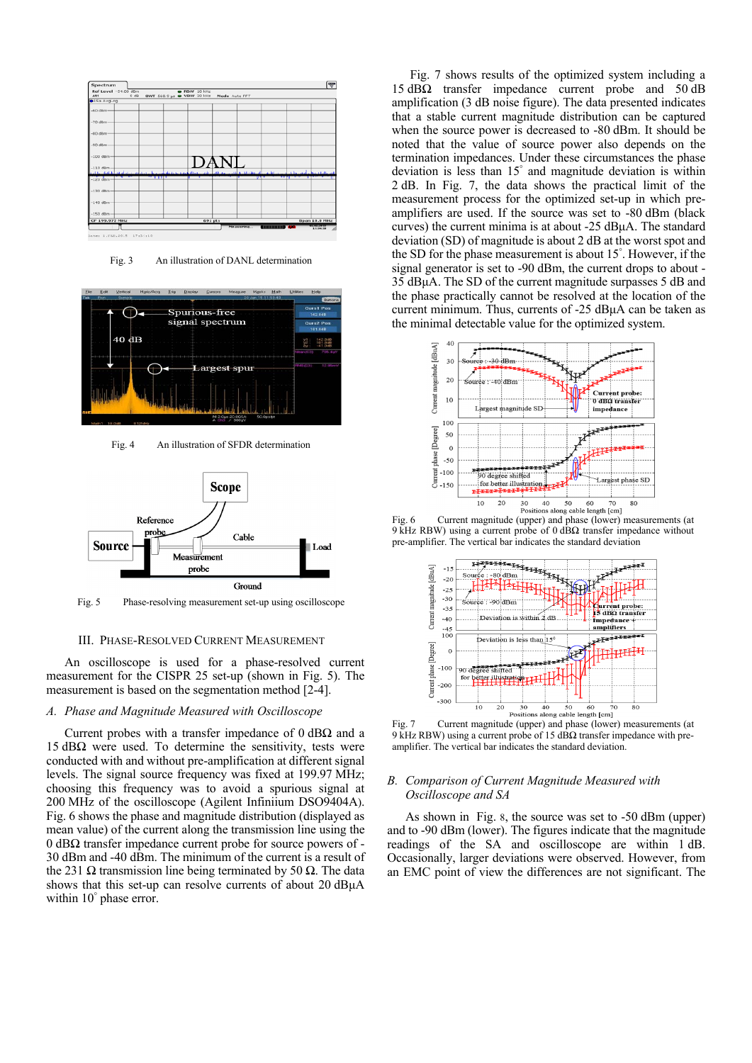

Fig. 3 An illustration of DANL determination



Fig. 4 An illustration of SFDR determination



Fig. 5 Phase-resolving measurement set-up using oscilloscope

## III. PHASE-RESOLVED CURRENT MEASUREMENT

An oscilloscope is used for a phase-resolved current measurement for the CISPR 25 set-up (shown in Fig. 5). The measurement is based on the segmentation method [2-4].

# *A. Phase and Magnitude Measured with Oscilloscope*

Current probes with a transfer impedance of  $0$  dB $\Omega$  and a 15 dB $Ω$  were used. To determine the sensitivity, tests were conducted with and without pre-amplification at different signal levels. The signal source frequency was fixed at 199.97 MHz; choosing this frequency was to avoid a spurious signal at 200 MHz of the oscilloscope (Agilent Infiniium DSO9404A). Fig. 6 shows the phase and magnitude distribution (displayed as mean value) of the current along the transmission line using the 0 dBΩ transfer impedance current probe for source powers of - 30 dBm and -40 dBm. The minimum of the current is a result of the 231 Ω transmission line being terminated by 50 Ω. The data shows that this set-up can resolve currents of about 20 dB $\mu$ A within 10° phase error.

Fig. 7 shows results of the optimized system including a 15 dBΩ transfer impedance current probe and 50 dB amplification (3 dB noise figure). The data presented indicates that a stable current magnitude distribution can be captured when the source power is decreased to -80 dBm. It should be noted that the value of source power also depends on the termination impedances. Under these circumstances the phase deviation is less than 15° and magnitude deviation is within 2 dB. In Fig. 7, the data shows the practical limit of the measurement process for the optimized set-up in which preamplifiers are used. If the source was set to -80 dBm (black curves) the current minima is at about -25 dBμA. The standard deviation (SD) of magnitude is about 2 dB at the worst spot and the SD for the phase measurement is about 15° . However, if the signal generator is set to -90 dBm, the current drops to about - 35 dBμA. The SD of the current magnitude surpasses 5 dB and the phase practically cannot be resolved at the location of the current minimum. Thus, currents of -25 dBμA can be taken as the minimal detectable value for the optimized system.



Fig. 6 Current magnitude (upper) and phase (lower) measurements (at 9 kHz RBW) using a current probe of 0  $\overrightarrow{B\Omega}$  transfer impedance without pre-amplifier. The vertical bar indicates the standard deviation



Fig. 7 Current magnitude (upper) and phase (lower) measurements (at 9 kHz RBW) using a current probe of 15 dBΩ transfer impedance with preamplifier. The vertical bar indicates the standard deviation.

# *B. Comparison of Current Magnitude Measured with Oscilloscope and SA*

As shown in Fig. 8, the source was set to -50 dBm (upper) and to -90 dBm (lower). The figures indicate that the magnitude readings of the SA and oscilloscope are within 1 dB. Occasionally, larger deviations were observed. However, from an EMC point of view the differences are not significant. The